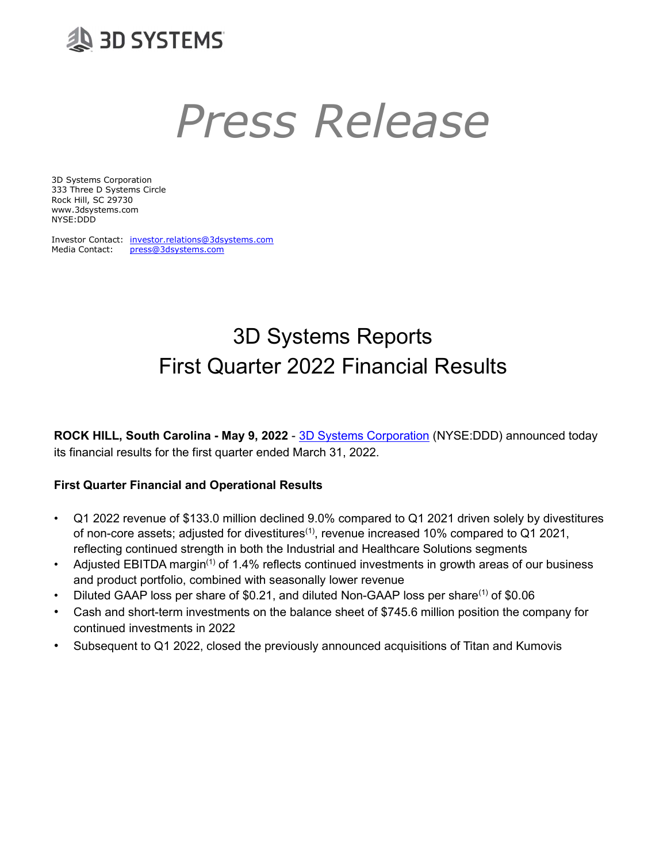## **29 BD SYSTEMS**

# Press Release

3D Systems Corporation 333 Three D Systems Circle Rock Hill, SC 29730 www.3dsystems.com NYSE:DDD

Investor Contact: investor.relations@3dsystems.com Media Contact: press@3dsystems.com

### 3D Systems Reports First Quarter 2022 Financial Results

ROCK HILL, South Carolina - May 9, 2022 - 3D Systems Corporation (NYSE:DDD) announced today its financial results for the first quarter ended March 31, 2022.

#### First Quarter Financial and Operational Results

- Q1 2022 revenue of \$133.0 million declined 9.0% compared to Q1 2021 driven solely by divestitures of non-core assets; adjusted for divestitures<sup>(1)</sup>, revenue increased 10% compared to Q1 2021, reflecting continued strength in both the Industrial and Healthcare Solutions segments
- Adjusted EBITDA margin<sup> $(1)$ </sup> of 1.4% reflects continued investments in growth areas of our business and product portfolio, combined with seasonally lower revenue
- Diluted GAAP loss per share of \$0.21, and diluted Non-GAAP loss per share<sup>(1)</sup> of \$0.06
- Cash and short-term investments on the balance sheet of \$745.6 million position the company for continued investments in 2022
- Subsequent to Q1 2022, closed the previously announced acquisitions of Titan and Kumovis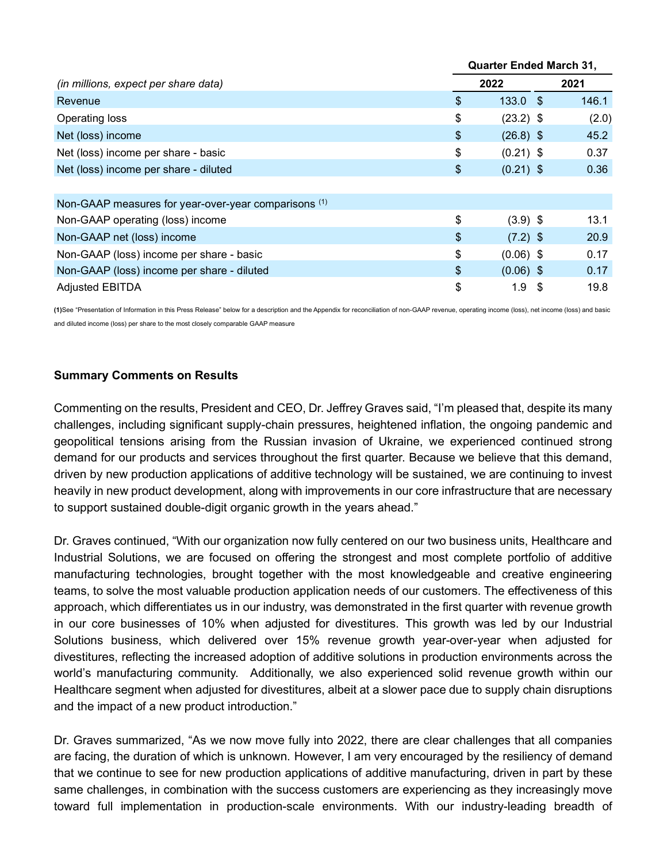|                                                      | <b>Quarter Ended March 31,</b> |             |     |       |
|------------------------------------------------------|--------------------------------|-------------|-----|-------|
| (in millions, expect per share data)                 |                                | 2022        |     | 2021  |
| Revenue                                              | \$                             | $133.0$ \$  |     | 146.1 |
| Operating loss                                       | \$                             | $(23.2)$ \$ |     | (2.0) |
| Net (loss) income                                    | \$                             | $(26.8)$ \$ |     | 45.2  |
| Net (loss) income per share - basic                  | \$                             | $(0.21)$ \$ |     | 0.37  |
| Net (loss) income per share - diluted                | \$                             | $(0.21)$ \$ |     | 0.36  |
|                                                      |                                |             |     |       |
| Non-GAAP measures for year-over-year comparisons (1) |                                |             |     |       |
| Non-GAAP operating (loss) income                     | \$                             | $(3.9)$ \$  |     | 13.1  |
| Non-GAAP net (loss) income                           | \$                             | $(7.2)$ \$  |     | 20.9  |
| Non-GAAP (loss) income per share - basic             | \$                             | $(0.06)$ \$ |     | 0.17  |
| Non-GAAP (loss) income per share - diluted           | \$                             | $(0.06)$ \$ |     | 0.17  |
| <b>Adjusted EBITDA</b>                               | \$                             | 1.9         | -\$ | 19.8  |

(1)See "Presentation of Information in this Press Release" below for a description and the Appendix for reconciliation of non-GAAP revenue, operating income (loss), net income (loss) and basic and diluted income (loss) per share to the most closely comparable GAAP measure

#### Summary Comments on Results

Commenting on the results, President and CEO, Dr. Jeffrey Graves said, "I'm pleased that, despite its many challenges, including significant supply-chain pressures, heightened inflation, the ongoing pandemic and geopolitical tensions arising from the Russian invasion of Ukraine, we experienced continued strong demand for our products and services throughout the first quarter. Because we believe that this demand, driven by new production applications of additive technology will be sustained, we are continuing to invest heavily in new product development, along with improvements in our core infrastructure that are necessary to support sustained double-digit organic growth in the years ahead."

Dr. Graves continued, "With our organization now fully centered on our two business units, Healthcare and Industrial Solutions, we are focused on offering the strongest and most complete portfolio of additive manufacturing technologies, brought together with the most knowledgeable and creative engineering teams, to solve the most valuable production application needs of our customers. The effectiveness of this approach, which differentiates us in our industry, was demonstrated in the first quarter with revenue growth in our core businesses of 10% when adjusted for divestitures. This growth was led by our Industrial Solutions business, which delivered over 15% revenue growth year-over-year when adjusted for divestitures, reflecting the increased adoption of additive solutions in production environments across the world's manufacturing community. Additionally, we also experienced solid revenue growth within our Healthcare segment when adjusted for divestitures, albeit at a slower pace due to supply chain disruptions and the impact of a new product introduction."

Dr. Graves summarized, "As we now move fully into 2022, there are clear challenges that all companies are facing, the duration of which is unknown. However, I am very encouraged by the resiliency of demand that we continue to see for new production applications of additive manufacturing, driven in part by these same challenges, in combination with the success customers are experiencing as they increasingly move toward full implementation in production-scale environments. With our industry-leading breadth of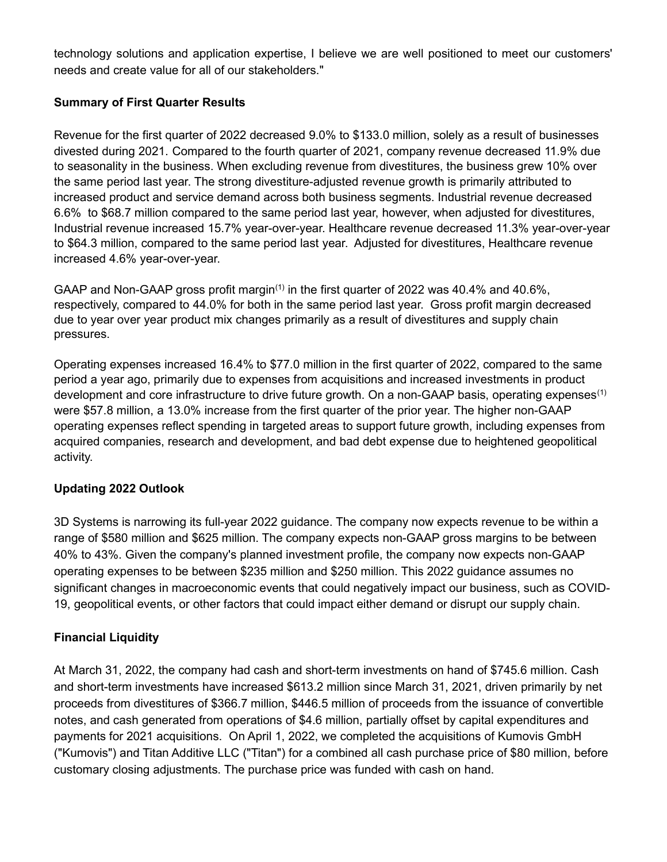technology solutions and application expertise, I believe we are well positioned to meet our customers' needs and create value for all of our stakeholders."

#### Summary of First Quarter Results

Revenue for the first quarter of 2022 decreased 9.0% to \$133.0 million, solely as a result of businesses divested during 2021. Compared to the fourth quarter of 2021, company revenue decreased 11.9% due to seasonality in the business. When excluding revenue from divestitures, the business grew 10% over the same period last year. The strong divestiture-adjusted revenue growth is primarily attributed to increased product and service demand across both business segments. Industrial revenue decreased 6.6% to \$68.7 million compared to the same period last year, however, when adjusted for divestitures, Industrial revenue increased 15.7% year-over-year. Healthcare revenue decreased 11.3% year-over-year to \$64.3 million, compared to the same period last year. Adjusted for divestitures, Healthcare revenue increased 4.6% year-over-year.

GAAP and Non-GAAP gross profit margin<sup>(1)</sup> in the first quarter of 2022 was 40.4% and 40.6%. respectively, compared to 44.0% for both in the same period last year. Gross profit margin decreased due to year over year product mix changes primarily as a result of divestitures and supply chain pressures.

Operating expenses increased 16.4% to \$77.0 million in the first quarter of 2022, compared to the same period a year ago, primarily due to expenses from acquisitions and increased investments in product development and core infrastructure to drive future growth. On a non-GAAP basis, operating expenses<sup>(1)</sup> were \$57.8 million, a 13.0% increase from the first quarter of the prior year. The higher non-GAAP operating expenses reflect spending in targeted areas to support future growth, including expenses from acquired companies, research and development, and bad debt expense due to heightened geopolitical activity.

#### Updating 2022 Outlook

3D Systems is narrowing its full-year 2022 guidance. The company now expects revenue to be within a range of \$580 million and \$625 million. The company expects non-GAAP gross margins to be between 40% to 43%. Given the company's planned investment profile, the company now expects non-GAAP operating expenses to be between \$235 million and \$250 million. This 2022 guidance assumes no significant changes in macroeconomic events that could negatively impact our business, such as COVID-19, geopolitical events, or other factors that could impact either demand or disrupt our supply chain.

#### Financial Liquidity

At March 31, 2022, the company had cash and short-term investments on hand of \$745.6 million. Cash and short-term investments have increased \$613.2 million since March 31, 2021, driven primarily by net proceeds from divestitures of \$366.7 million, \$446.5 million of proceeds from the issuance of convertible notes, and cash generated from operations of \$4.6 million, partially offset by capital expenditures and payments for 2021 acquisitions. On April 1, 2022, we completed the acquisitions of Kumovis GmbH ("Kumovis") and Titan Additive LLC ("Titan") for a combined all cash purchase price of \$80 million, before customary closing adjustments. The purchase price was funded with cash on hand.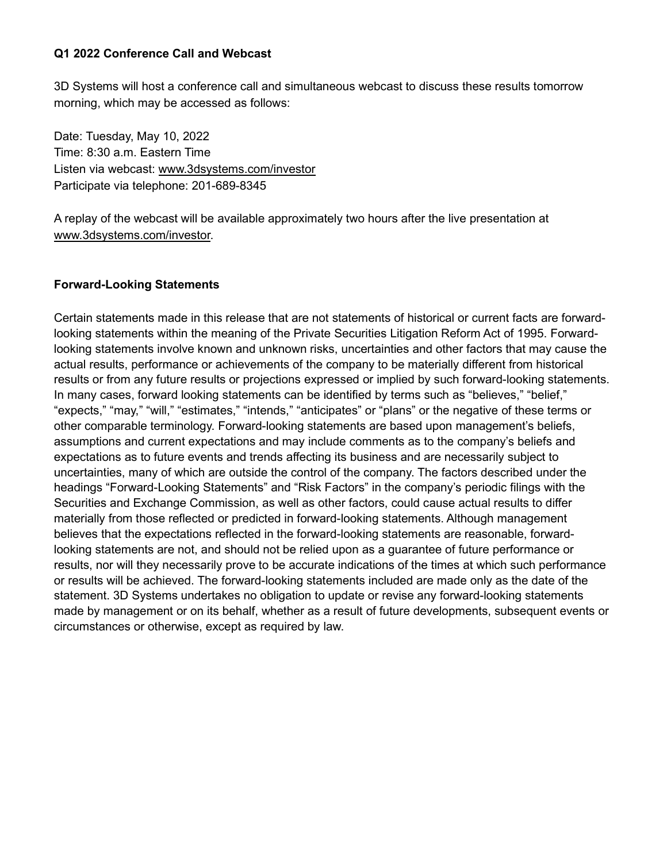#### Q1 2022 Conference Call and Webcast

3D Systems will host a conference call and simultaneous webcast to discuss these results tomorrow morning, which may be accessed as follows:

Date: Tuesday, May 10, 2022 Time: 8:30 a.m. Eastern Time Listen via webcast: www.3dsystems.com/investor Participate via telephone: 201-689-8345

A replay of the webcast will be available approximately two hours after the live presentation at www.3dsystems.com/investor.

#### Forward-Looking Statements

Certain statements made in this release that are not statements of historical or current facts are forwardlooking statements within the meaning of the Private Securities Litigation Reform Act of 1995. Forwardlooking statements involve known and unknown risks, uncertainties and other factors that may cause the actual results, performance or achievements of the company to be materially different from historical results or from any future results or projections expressed or implied by such forward-looking statements. In many cases, forward looking statements can be identified by terms such as "believes," "belief," "expects," "may," "will," "estimates," "intends," "anticipates" or "plans" or the negative of these terms or other comparable terminology. Forward-looking statements are based upon management's beliefs, assumptions and current expectations and may include comments as to the company's beliefs and expectations as to future events and trends affecting its business and are necessarily subject to uncertainties, many of which are outside the control of the company. The factors described under the headings "Forward-Looking Statements" and "Risk Factors" in the company's periodic filings with the Securities and Exchange Commission, as well as other factors, could cause actual results to differ materially from those reflected or predicted in forward-looking statements. Although management believes that the expectations reflected in the forward-looking statements are reasonable, forwardlooking statements are not, and should not be relied upon as a guarantee of future performance or results, nor will they necessarily prove to be accurate indications of the times at which such performance or results will be achieved. The forward-looking statements included are made only as the date of the statement. 3D Systems undertakes no obligation to update or revise any forward-looking statements made by management or on its behalf, whether as a result of future developments, subsequent events or circumstances or otherwise, except as required by law.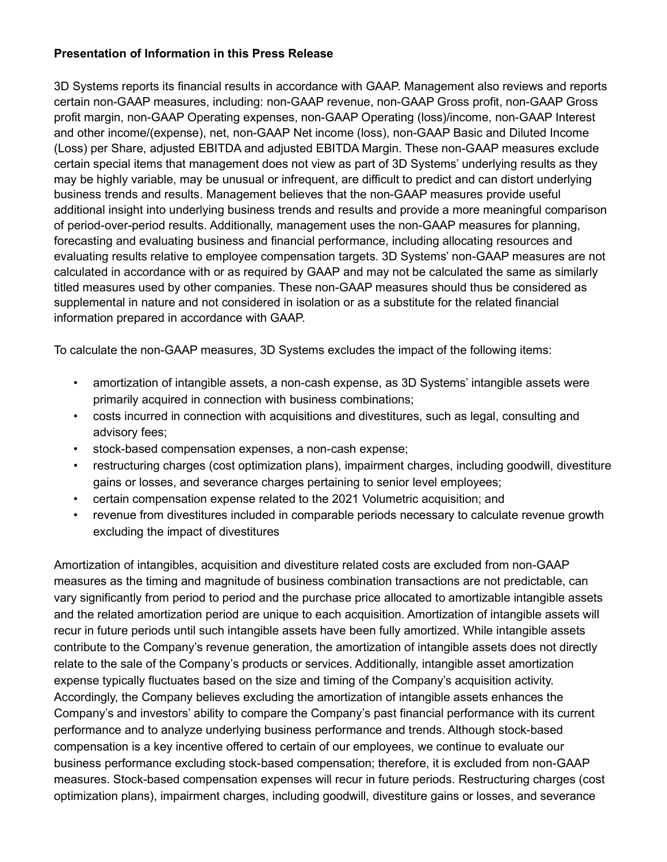#### Presentation of Information in this Press Release

3D Systems reports its financial results in accordance with GAAP. Management also reviews and reports certain non-GAAP measures, including: non-GAAP revenue, non-GAAP Gross profit, non-GAAP Gross profit margin, non-GAAP Operating expenses, non-GAAP Operating (loss)/income, non-GAAP Interest and other income/(expense), net, non-GAAP Net income (loss), non-GAAP Basic and Diluted Income (Loss) per Share, adjusted EBITDA and adjusted EBITDA Margin. These non-GAAP measures exclude certain special items that management does not view as part of 3D Systems' underlying results as they may be highly variable, may be unusual or infrequent, are difficult to predict and can distort underlying business trends and results. Management believes that the non-GAAP measures provide useful additional insight into underlying business trends and results and provide a more meaningful comparison of period-over-period results. Additionally, management uses the non-GAAP measures for planning, forecasting and evaluating business and financial performance, including allocating resources and evaluating results relative to employee compensation targets. 3D Systems' non-GAAP measures are not calculated in accordance with or as required by GAAP and may not be calculated the same as similarly titled measures used by other companies. These non-GAAP measures should thus be considered as supplemental in nature and not considered in isolation or as a substitute for the related financial information prepared in accordance with GAAP.

To calculate the non-GAAP measures, 3D Systems excludes the impact of the following items:

- amortization of intangible assets, a non-cash expense, as 3D Systems' intangible assets were primarily acquired in connection with business combinations;
- costs incurred in connection with acquisitions and divestitures, such as legal, consulting and advisory fees;
- stock-based compensation expenses, a non-cash expense;
- restructuring charges (cost optimization plans), impairment charges, including goodwill, divestiture gains or losses, and severance charges pertaining to senior level employees;
- certain compensation expense related to the 2021 Volumetric acquisition; and
- revenue from divestitures included in comparable periods necessary to calculate revenue growth excluding the impact of divestitures

Amortization of intangibles, acquisition and divestiture related costs are excluded from non-GAAP measures as the timing and magnitude of business combination transactions are not predictable, can vary significantly from period to period and the purchase price allocated to amortizable intangible assets and the related amortization period are unique to each acquisition. Amortization of intangible assets will recur in future periods until such intangible assets have been fully amortized. While intangible assets contribute to the Company's revenue generation, the amortization of intangible assets does not directly relate to the sale of the Company's products or services. Additionally, intangible asset amortization expense typically fluctuates based on the size and timing of the Company's acquisition activity. Accordingly, the Company believes excluding the amortization of intangible assets enhances the Company's and investors' ability to compare the Company's past financial performance with its current performance and to analyze underlying business performance and trends. Although stock-based compensation is a key incentive offered to certain of our employees, we continue to evaluate our business performance excluding stock-based compensation; therefore, it is excluded from non-GAAP measures. Stock-based compensation expenses will recur in future periods. Restructuring charges (cost optimization plans), impairment charges, including goodwill, divestiture gains or losses, and severance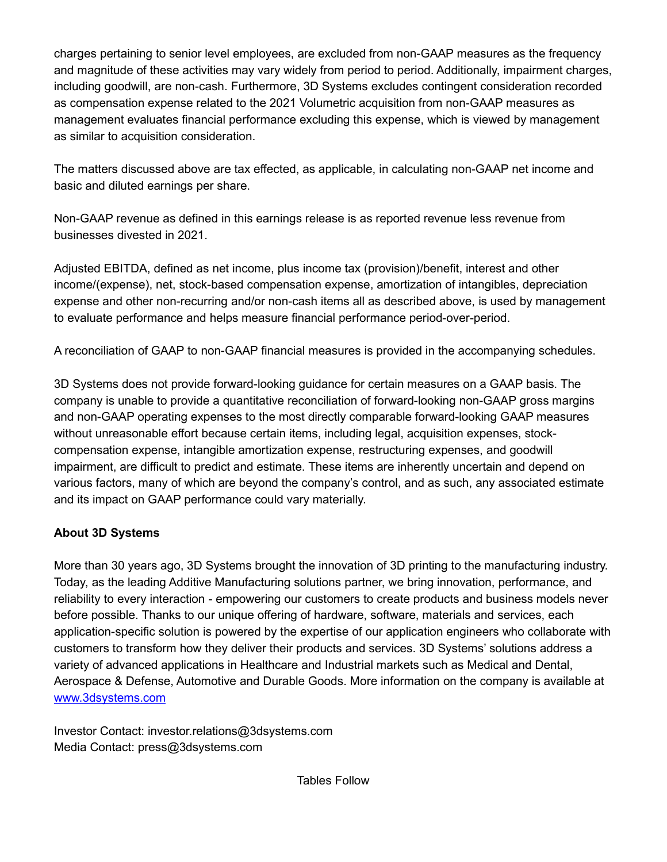charges pertaining to senior level employees, are excluded from non-GAAP measures as the frequency and magnitude of these activities may vary widely from period to period. Additionally, impairment charges, including goodwill, are non-cash. Furthermore, 3D Systems excludes contingent consideration recorded as compensation expense related to the 2021 Volumetric acquisition from non-GAAP measures as management evaluates financial performance excluding this expense, which is viewed by management as similar to acquisition consideration.

The matters discussed above are tax effected, as applicable, in calculating non-GAAP net income and basic and diluted earnings per share.

Non-GAAP revenue as defined in this earnings release is as reported revenue less revenue from businesses divested in 2021.

Adjusted EBITDA, defined as net income, plus income tax (provision)/benefit, interest and other income/(expense), net, stock-based compensation expense, amortization of intangibles, depreciation expense and other non-recurring and/or non-cash items all as described above, is used by management to evaluate performance and helps measure financial performance period-over-period.

A reconciliation of GAAP to non-GAAP financial measures is provided in the accompanying schedules.

3D Systems does not provide forward-looking guidance for certain measures on a GAAP basis. The company is unable to provide a quantitative reconciliation of forward-looking non-GAAP gross margins and non-GAAP operating expenses to the most directly comparable forward-looking GAAP measures without unreasonable effort because certain items, including legal, acquisition expenses, stockcompensation expense, intangible amortization expense, restructuring expenses, and goodwill impairment, are difficult to predict and estimate. These items are inherently uncertain and depend on various factors, many of which are beyond the company's control, and as such, any associated estimate and its impact on GAAP performance could vary materially.

#### About 3D Systems

More than 30 years ago, 3D Systems brought the innovation of 3D printing to the manufacturing industry. Today, as the leading Additive Manufacturing solutions partner, we bring innovation, performance, and reliability to every interaction - empowering our customers to create products and business models never before possible. Thanks to our unique offering of hardware, software, materials and services, each application-specific solution is powered by the expertise of our application engineers who collaborate with customers to transform how they deliver their products and services. 3D Systems' solutions address a variety of advanced applications in Healthcare and Industrial markets such as Medical and Dental, Aerospace & Defense, Automotive and Durable Goods. More information on the company is available at www.3dsystems.com

Investor Contact: investor.relations@3dsystems.com Media Contact: press@3dsystems.com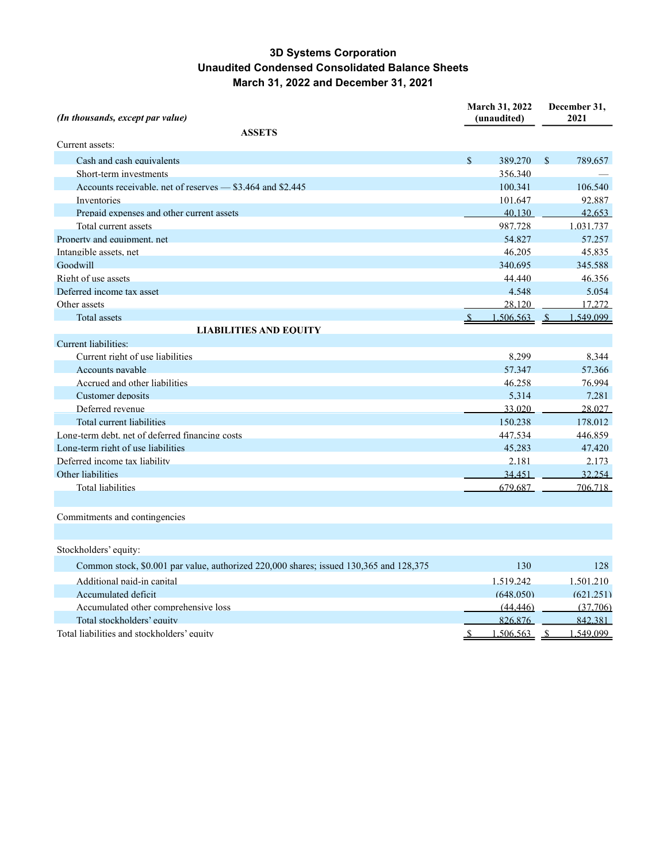#### 3D Systems Corporation Unaudited Condensed Consolidated Balance Sheets March 31, 2022 and December 31, 2021

| (In thousands, except par value)                                                       |                    | March 31, 2022<br>(unaudited) |               | December 31,<br>2021 |  |
|----------------------------------------------------------------------------------------|--------------------|-------------------------------|---------------|----------------------|--|
| <b>ASSETS</b>                                                                          |                    |                               |               |                      |  |
| Current assets:                                                                        |                    |                               |               |                      |  |
| Cash and cash equivalents                                                              | $\mathbf{\hat{S}}$ | 389.270                       | $\mathbf{s}$  | 789.657              |  |
| Short-term investments                                                                 |                    | 356,340                       |               |                      |  |
| Accounts receivable, net of reserves — \$3,464 and \$2,445                             |                    | 100.341                       |               | 106.540              |  |
| <b>Inventories</b>                                                                     |                    | 101.647                       |               | 92.887               |  |
| Prepaid expenses and other current assets                                              |                    | 40.130                        |               | 42.653               |  |
| Total current assets                                                                   |                    | 987.728                       |               | 1.031.737            |  |
| Property and equipment, net                                                            |                    | 54.827                        |               | 57.257               |  |
| Intangible assets, net                                                                 |                    | 46.205                        |               | 45.835               |  |
| Goodwill                                                                               |                    | 340.695                       |               | 345.588              |  |
| Right of use assets                                                                    |                    | 44.440                        |               | 46.356               |  |
| Deferred income tax asset                                                              |                    | 4.548                         |               | 5.054                |  |
| Other assets                                                                           |                    | 28.120                        |               | 17.272               |  |
| <b>Total assets</b>                                                                    | $\mathcal{S}$      | 1.506.563                     | $\mathcal{S}$ | 1.549.099            |  |
| <b>LIABILITIES AND EQUITY</b>                                                          |                    |                               |               |                      |  |
| Current liabilities:                                                                   |                    |                               |               |                      |  |
| Current right of use liabilities                                                       |                    | 8.299                         |               | 8.344                |  |
| Accounts navable                                                                       |                    | 57.347                        |               | 57.366               |  |
| Accrued and other liabilities                                                          |                    | 46.258                        |               | 76.994               |  |
| Customer deposits                                                                      |                    | 5.314                         |               | 7.281                |  |
| Deferred revenue                                                                       |                    | 33.020                        |               | 28.027               |  |
| Total current liabilities                                                              |                    | 150.238                       |               | 178.012              |  |
| Long-term debt, net of deferred financing costs                                        |                    | 447.534                       |               | 446.859              |  |
| Long-term right of use liabilities                                                     |                    | 45.283                        |               | 47.420               |  |
| Deferred income tax liability                                                          |                    | 2.181                         |               | 2.173                |  |
| Other liabilities                                                                      |                    | 34.451                        |               | 32.254               |  |
| <b>Total liabilities</b>                                                               |                    | 679.687                       |               | 706.718              |  |
| Commitments and contingencies                                                          |                    |                               |               |                      |  |
|                                                                                        |                    |                               |               |                      |  |
| Stockholders' equity:                                                                  |                    |                               |               |                      |  |
| Common stock, \$0.001 par value, authorized 220,000 shares; issued 130,365 and 128,375 |                    | 130                           |               | 128                  |  |
| Additional paid-in capital                                                             |                    | 1.519.242                     |               | 1.501.210            |  |
| Accumulated deficit                                                                    |                    | (648.050)                     |               | (621.251)            |  |
| Accumulated other comprehensive loss                                                   |                    | (44, 446)                     |               | (37.706)             |  |
| Total stockholders' equity                                                             |                    | 826,876                       |               | 842.381              |  |

Total liabilities and stockholders' equity the state of the state of the state of the state of the state of the state of the state of the state of the state of the state of the state of the state of the state of the state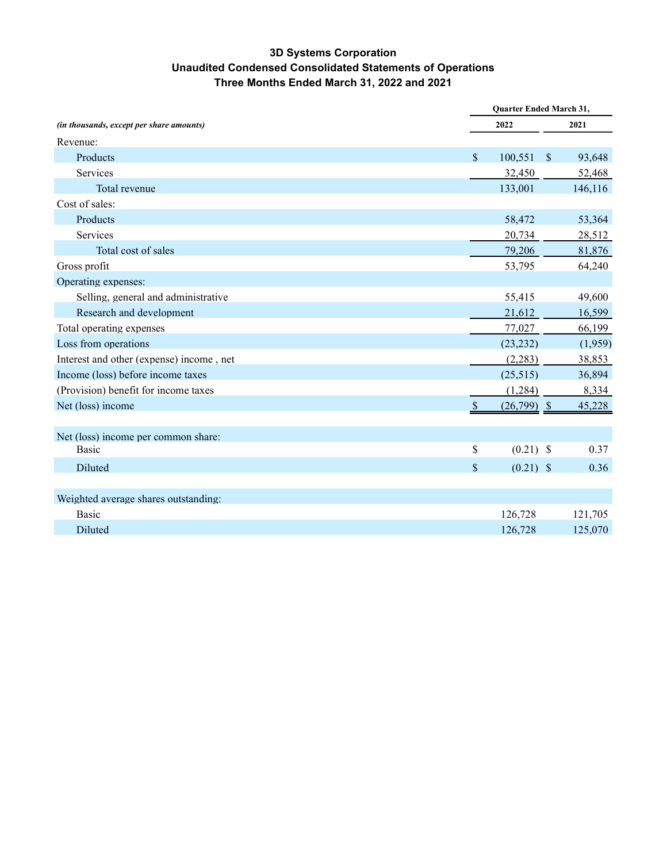#### 3D Systems Corporation Unaudited Condensed Consolidated Statements of Operations Three Months Ended March 31, 2022 and 2021

|                                          |               | Quarter Ended March 31, |         |  |  |  |  |
|------------------------------------------|---------------|-------------------------|---------|--|--|--|--|
| (in thousands, except per share amounts) |               | 2022                    | 2021    |  |  |  |  |
| Revenue:                                 |               |                         |         |  |  |  |  |
| Products                                 | $\mathcal{S}$ | $\mathbb{S}$<br>100,551 | 93,648  |  |  |  |  |
| Services                                 |               | 32,450                  | 52,468  |  |  |  |  |
| Total revenue                            |               | 133,001                 | 146,116 |  |  |  |  |
| Cost of sales:                           |               |                         |         |  |  |  |  |
| Products                                 |               | 58,472                  | 53,364  |  |  |  |  |
| Services                                 |               | 20,734                  | 28,512  |  |  |  |  |
| Total cost of sales                      |               | 79,206                  | 81,876  |  |  |  |  |
| Gross profit                             |               | 53,795                  | 64,240  |  |  |  |  |
| Operating expenses:                      |               |                         |         |  |  |  |  |
| Selling, general and administrative      |               | 55,415                  | 49,600  |  |  |  |  |
| Research and development                 |               | 21,612                  | 16,599  |  |  |  |  |
| Total operating expenses                 |               | 77,027                  | 66,199  |  |  |  |  |
| Loss from operations                     |               | (23, 232)               | (1,959) |  |  |  |  |
| Interest and other (expense) income, net |               | (2, 283)                | 38,853  |  |  |  |  |
| Income (loss) before income taxes        |               | (25,515)                | 36,894  |  |  |  |  |
| (Provision) benefit for income taxes     |               | (1,284)                 | 8,334   |  |  |  |  |
| Net (loss) income                        | <sup>S</sup>  | $(26,799)$ \$           | 45,228  |  |  |  |  |
|                                          |               |                         |         |  |  |  |  |
| Net (loss) income per common share:      |               |                         |         |  |  |  |  |
| Basic                                    | \$            | $(0.21)$ \$             | 0.37    |  |  |  |  |
| Diluted                                  | \$            | $(0.21)$ \$             | 0.36    |  |  |  |  |
|                                          |               |                         |         |  |  |  |  |
| Weighted average shares outstanding:     |               |                         |         |  |  |  |  |
| <b>Basic</b>                             |               | 126,728                 | 121,705 |  |  |  |  |
| Diluted                                  |               | 126,728                 | 125,070 |  |  |  |  |
|                                          |               |                         |         |  |  |  |  |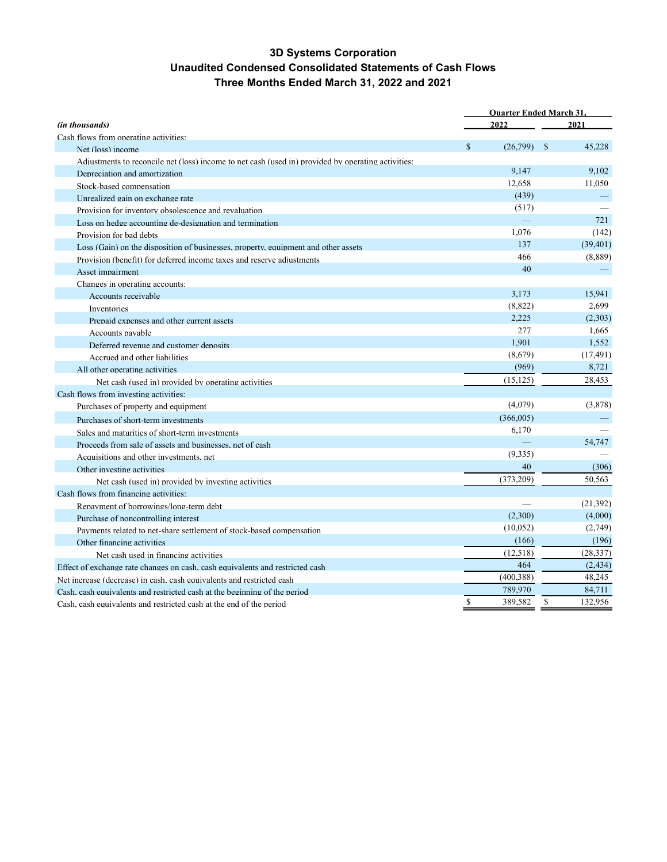#### 3D Systems Corporation Unaudited Condensed Consolidated Statements of Cash Flows Three Months Ended March 31, 2022 and 2021

|                                                                                                    | <b>Ouarter Ended March 31.</b> |            |     |           |  |  |
|----------------------------------------------------------------------------------------------------|--------------------------------|------------|-----|-----------|--|--|
| (in thousands)                                                                                     |                                | 2022       |     | 2021      |  |  |
| Cash flows from operating activities:                                                              |                                |            |     |           |  |  |
| Net (loss) income                                                                                  | $\mathbf{s}$                   | (26,799)   | -\$ | 45,228    |  |  |
| Adjustments to reconcile net (loss) income to net cash (used in) provided by operating activities: |                                |            |     |           |  |  |
| Depreciation and amortization                                                                      |                                | 9.147      |     | 9.102     |  |  |
| Stock-based compensation                                                                           |                                | 12,658     |     | 11,050    |  |  |
| Unrealized gain on exchange rate                                                                   |                                | (439)      |     |           |  |  |
| Provision for inventory obsolescence and revaluation                                               |                                | (517)      |     |           |  |  |
| Loss on hedge accounting de-designation and termination                                            |                                |            |     | 721       |  |  |
| Provision for bad debts                                                                            |                                | 1,076      |     | (142)     |  |  |
| Loss (Gain) on the disposition of businesses, property, equipment and other assets                 |                                | 137        |     | (39, 401) |  |  |
| Provision (benefit) for deferred income taxes and reserve adjustments                              |                                | 466        |     | (8,889)   |  |  |
| Asset impairment                                                                                   |                                | 40         |     |           |  |  |
| Changes in operating accounts:                                                                     |                                |            |     |           |  |  |
| Accounts receivable                                                                                |                                | 3.173      |     | 15.941    |  |  |
| <b>Inventories</b>                                                                                 |                                | (8,822)    |     | 2,699     |  |  |
| Prepaid expenses and other current assets                                                          |                                | 2,225      |     | (2,303)   |  |  |
| Accounts payable                                                                                   |                                | 277        |     | 1,665     |  |  |
| Deferred revenue and customer deposits                                                             |                                | 1.901      |     | 1,552     |  |  |
| Accrued and other liabilities                                                                      |                                | (8,679)    |     | (17, 491) |  |  |
| All other operating activities                                                                     |                                | (969)      |     | 8,721     |  |  |
| Net cash (used in) provided by operating activities                                                |                                | (15, 125)  |     | 28,453    |  |  |
| Cash flows from investing activities:                                                              |                                |            |     |           |  |  |
| Purchases of property and equipment                                                                |                                | (4,079)    |     | (3,878)   |  |  |
| Purchases of short-term investments                                                                |                                | (366,005)  |     |           |  |  |
| Sales and maturities of short-term investments                                                     |                                | 6,170      |     |           |  |  |
| Proceeds from sale of assets and businesses, net of cash                                           |                                |            |     | 54,747    |  |  |
| Acquisitions and other investments, net                                                            |                                | (9, 335)   |     |           |  |  |
| Other investing activities                                                                         |                                | 40         |     | (306)     |  |  |
| Net cash (used in) provided by investing activities                                                |                                | (373, 209) |     | 50,563    |  |  |
| Cash flows from financing activities:                                                              |                                |            |     |           |  |  |
| Renayment of borrowings/long-term debt                                                             |                                |            |     | (21, 392) |  |  |
| Purchase of noncontrolling interest                                                                |                                | (2,300)    |     | (4,000)   |  |  |
| Payments related to net-share settlement of stock-based compensation                               |                                | (10,052)   |     | (2,749)   |  |  |
| Other financing activities                                                                         |                                | (166)      |     | (196)     |  |  |
| Net cash used in financing activities                                                              |                                | (12,518)   |     | (28, 337) |  |  |
| Effect of exchange rate changes on cash, cash equivalents and restricted cash                      |                                | 464        |     | (2, 434)  |  |  |
| Net increase (decrease) in cash, cash equivalents and restricted cash                              |                                | (400, 388) |     | 48,245    |  |  |
| Cash, cash equivalents and restricted cash at the beginning of the period                          |                                | 789,970    |     | 84,711    |  |  |
| Cash, cash equivalents and restricted cash at the end of the period                                | \$                             | 389,582    | \$  | 132,956   |  |  |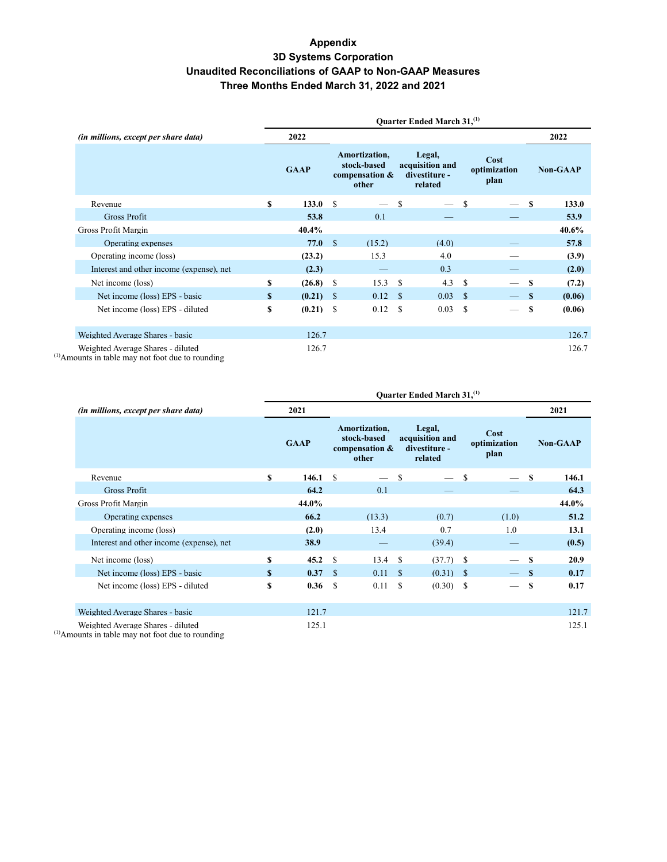#### Appendix 3D Systems Corporation Unaudited Reconciliations of GAAP to Non-GAAP Measures Three Months Ended March 31, 2022 and 2021

|                                                                                          |    |             |               |                                                         |      | <b>Ouarter Ended March 31, (1)</b>                    |               |                              |               |                 |
|------------------------------------------------------------------------------------------|----|-------------|---------------|---------------------------------------------------------|------|-------------------------------------------------------|---------------|------------------------------|---------------|-----------------|
| (in millions, except per share data)                                                     |    | 2022        |               |                                                         |      |                                                       |               |                              |               | 2022            |
|                                                                                          |    | <b>GAAP</b> |               | Amortization,<br>stock-based<br>compensation &<br>other |      | Legal,<br>acquisition and<br>divestiture -<br>related |               | Cost<br>optimization<br>plan |               | <b>Non-GAAP</b> |
| Revenue                                                                                  | \$ | 133.0       | <b>S</b>      |                                                         | \$   |                                                       | S             |                              | S             | 133.0           |
| <b>Gross Profit</b>                                                                      |    | 53.8        |               | 0.1                                                     |      |                                                       |               |                              |               | 53.9            |
| Gross Profit Margin                                                                      |    | 40.4%       |               |                                                         |      |                                                       |               |                              |               | 40.6%           |
| Operating expenses                                                                       |    | 77.0        | $\mathcal{S}$ | (15.2)                                                  |      | (4.0)                                                 |               |                              |               | 57.8            |
| Operating income (loss)                                                                  |    | (23.2)      |               | 15.3                                                    |      | 4.0                                                   |               |                              |               | (3.9)           |
| Interest and other income (expense), net                                                 |    | (2.3)       |               |                                                         |      | 0.3                                                   |               |                              |               | (2.0)           |
| Net income (loss)                                                                        | \$ | $(26.8)$ \$ |               | 15.3                                                    | - S  | 4.3                                                   | <b>S</b>      |                              | $\mathbf{s}$  | (7.2)           |
| Net income (loss) EPS - basic                                                            | \$ | $(0.21)$ \$ |               | 0.12                                                    | - \$ | 0.03                                                  | <sup>\$</sup> |                              | <sup>\$</sup> | (0.06)          |
| Net income (loss) EPS - diluted                                                          | S  | $(0.21)$ \$ |               | $0.12 \quad$ \$                                         |      | 0.03                                                  | S             |                              | S             | (0.06)          |
| Weighted Average Shares - basic                                                          |    | 126.7       |               |                                                         |      |                                                       |               |                              |               | 126.7           |
| Weighted Average Shares - diluted<br>$(1)$ Amounts in table may not foot due to rounding |    | 126.7       |               |                                                         |      |                                                       |               |                              |               | 126.7           |

|                                                                                          |    |             |               |                                                         |               | Quarter Ended March 31, <sup>(1)</sup>                |               |                              |              |                 |
|------------------------------------------------------------------------------------------|----|-------------|---------------|---------------------------------------------------------|---------------|-------------------------------------------------------|---------------|------------------------------|--------------|-----------------|
| (in millions, except per share data)                                                     |    | 2021        |               |                                                         |               |                                                       |               |                              |              | 2021            |
|                                                                                          |    | <b>GAAP</b> |               | Amortization,<br>stock-based<br>compensation &<br>other |               | Legal,<br>acquisition and<br>divestiture -<br>related |               | Cost<br>optimization<br>plan |              | <b>Non-GAAP</b> |
| Revenue                                                                                  | \$ | 146.1       | <b>S</b>      |                                                         | <sup>\$</sup> |                                                       | <sup>\$</sup> |                              | S            | 146.1           |
| Gross Profit                                                                             |    | 64.2        |               | 0.1                                                     |               |                                                       |               |                              |              | 64.3            |
| Gross Profit Margin                                                                      |    | 44.0%       |               |                                                         |               |                                                       |               |                              |              | 44.0%           |
| Operating expenses                                                                       |    | 66.2        |               | (13.3)                                                  |               | (0.7)                                                 |               | (1.0)                        |              | 51.2            |
| Operating income (loss)                                                                  |    | (2.0)       |               | 13.4                                                    |               | 0.7                                                   |               | 1.0                          |              | 13.1            |
| Interest and other income (expense), net                                                 |    | 38.9        |               |                                                         |               | (39.4)                                                |               |                              |              | (0.5)           |
| Net income (loss)                                                                        | S  | 45.2        | <b>S</b>      | 13.4                                                    | S             | (37.7)                                                | - \$          |                              | - \$         | 20.9            |
| Net income (loss) EPS - basic                                                            | S  | 0.37        | $\mathbf{s}$  | 0.11                                                    | <sup>\$</sup> | (0.31)                                                | - \$          | — S                          |              | 0.17            |
| Net income (loss) EPS - diluted                                                          | \$ | 0.36        | <sup>\$</sup> | 0.11                                                    | S             | (0.30)                                                | - \$          |                              | <sup>S</sup> | 0.17            |
| Weighted Average Shares - basic                                                          |    | 121.7       |               |                                                         |               |                                                       |               |                              |              | 121.7           |
| Weighted Average Shares - diluted<br>$(1)$ Amounts in table may not foot due to rounding |    | 125.1       |               |                                                         |               |                                                       |               |                              |              | 125.1           |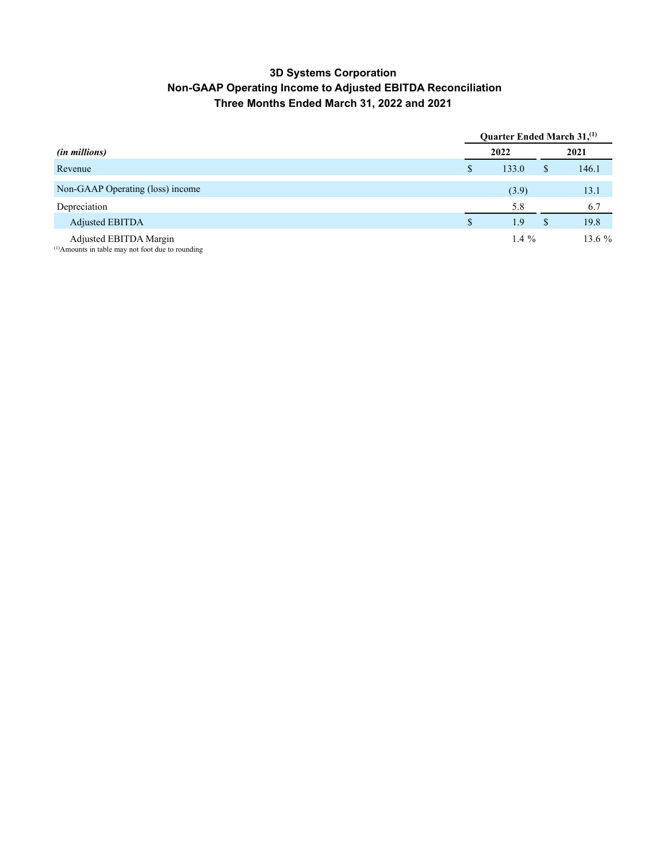#### 3D Systems Corporation Non-GAAP Operating Income to Adjusted EBITDA Reconciliation Three Months Ended March 31, 2022 and 2021

|                                                                                        |    | <b>Ouarter Ended March 31, (1)</b> |    |          |  |  |  |
|----------------------------------------------------------------------------------------|----|------------------------------------|----|----------|--|--|--|
| <i>(in millions)</i>                                                                   |    | 2022                               |    | 2021     |  |  |  |
| Revenue                                                                                |    | 133.0                              | S  | 146.1    |  |  |  |
| Non-GAAP Operating (loss) income                                                       |    | (3.9)                              |    | 13.1     |  |  |  |
| Depreciation                                                                           |    | 5.8                                |    | 6.7      |  |  |  |
| Adjusted EBITDA                                                                        | \$ | 1.9                                | \$ | 19.8     |  |  |  |
| Adjusted EBITDA Margin<br><sup>(1)</sup> Amounts in table may not foot due to rounding |    | 1.4 $%$                            |    | 13.6 $%$ |  |  |  |